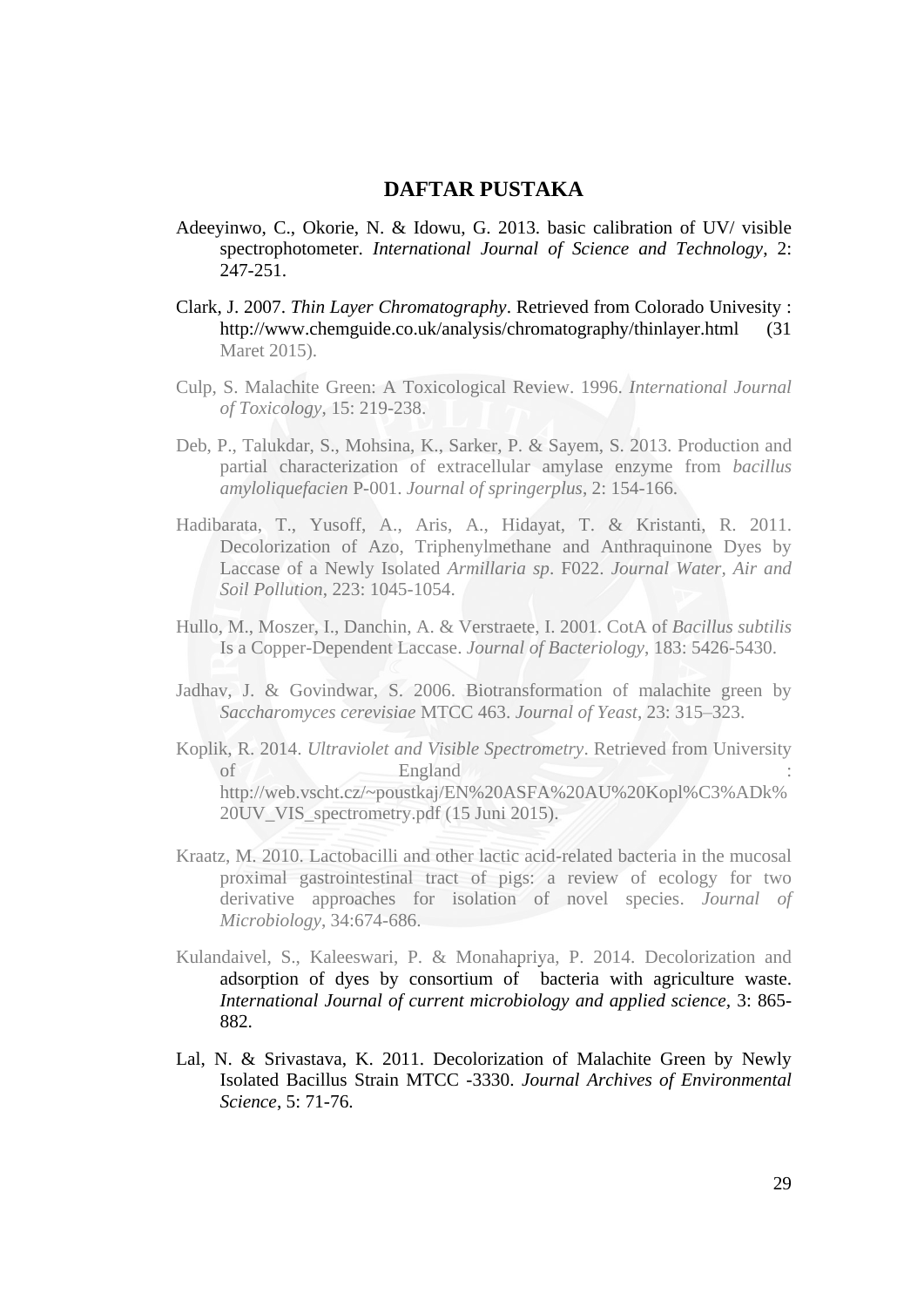## **DAFTAR PUSTAKA**

- Adeeyinwo, C., Okorie, N. & Idowu, G. 2013. basic calibration of UV/ visible spectrophotometer. *International Journal of Science and Technology*, 2: 247-251.
- Clark, J. 2007. *Thin Layer Chromatography*. Retrieved from Colorado Univesity : [http://www.chemguide.co.uk/analysis/chromatography/thinlayer.html \(31](http://www.chemguide.co.uk/analysis/chromatography/thinlayer.html%20(31) Maret 2015).
- Culp, S. Malachite Green: A Toxicological Review. 1996. *International Journal of Toxicology*, 15: 219-238.
- Deb, P., Talukdar, S., Mohsina, K., Sarker, P. & Sayem, S. 2013. Production and partial characterization of extracellular amylase enzyme from *bacillus amyloliquefacien* P-001. *Journal of springerplus*, 2: 154-166.
- Hadibarata, T., Yusoff, A., Aris, A., Hidayat, T. & Kristanti, R. 2011. Decolorization of Azo, Triphenylmethane and Anthraquinone Dyes by Laccase of a Newly Isolated *Armillaria sp*. F022. *Journal Water, Air and Soil Pollution*, 223: 1045-1054.
- Hullo, M., Moszer, I., Danchin, A. & Verstraete, I. 2001. CotA of *Bacillus subtilis* Is a Copper-Dependent Laccase. *Journal of Bacteriology*, 183: 5426-5430.
- Jadhav, J. & Govindwar, S. 2006. Biotransformation of malachite green by *Saccharomyces cerevisiae* MTCC 463. *Journal of Yeast*, 23: 315–323.
- Koplik, R. 2014. *Ultraviolet and Visible Spectrometry*. Retrieved from University of  $\bigwedge$  England  $\bigwedge$  : [http://web.vscht.cz/~poustkaj/EN%20ASFA%20AU%20Kopl%C3%ADk%](http://web.vscht.cz/~poustkaj/EN%20ASFA%20AU%20Kopl%C3%ADk%20UV_VIS_spectrometry.pdf) [20UV\\_VIS\\_spectrometry.pdf](http://web.vscht.cz/~poustkaj/EN%20ASFA%20AU%20Kopl%C3%ADk%20UV_VIS_spectrometry.pdf) (15 Juni 2015).
- Kraatz, M. 2010. Lactobacilli and other lactic acid-related bacteria in the mucosal proximal gastrointestinal tract of pigs: a review of ecology for two derivative approaches for isolation of novel species. *Journal of Microbiology*, 34:674-686.
- Kulandaivel, S., Kaleeswari, P. & Monahapriya, P. 2014. Decolorization and adsorption of dyes by consortium of bacteria with agriculture waste. *International Journal of current microbiology and applied science,* 3: 865- 882.
- Lal, N. & Srivastava, K. 2011. Decolorization of Malachite Green by Newly Isolated Bacillus Strain MTCC -3330. *Journal Archives of Environmental Science*, 5: 71-76.